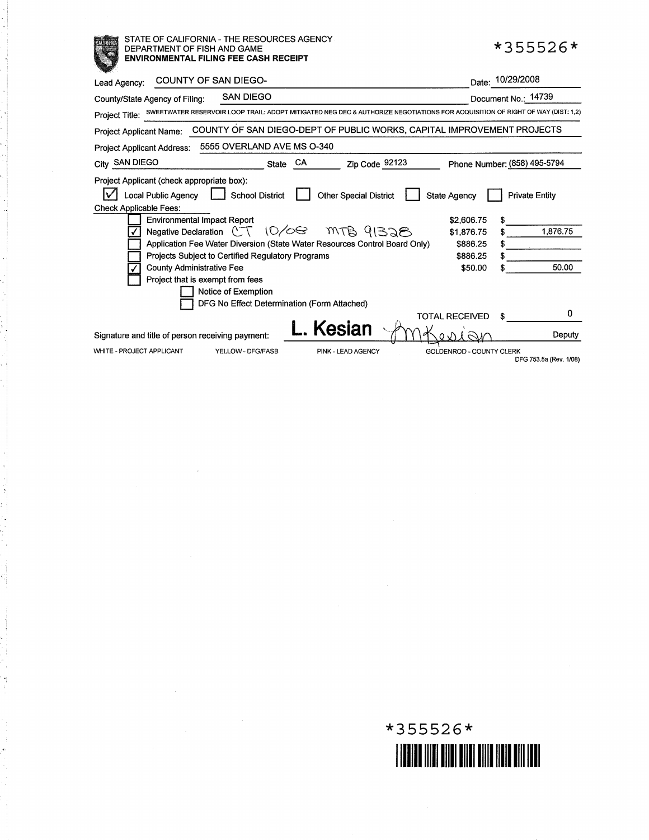## STATE OF CALIFORNIA- THE RESOURCES AGENCY DEPARTMENT OF FISH AND GAME **ENVIRONMENTAL FILING FEE CASH RECEIPT**

annan<br>T

| COUNTY OF SAN DIEGO-<br>Lead Agency:                                                                                                                                                                                                                                                                                                                                                                                                                                                                                                                |                                                                                    | Date: 10/29/2008                           |  |  |  |
|-----------------------------------------------------------------------------------------------------------------------------------------------------------------------------------------------------------------------------------------------------------------------------------------------------------------------------------------------------------------------------------------------------------------------------------------------------------------------------------------------------------------------------------------------------|------------------------------------------------------------------------------------|--------------------------------------------|--|--|--|
| <b>SAN DIEGO</b><br>County/State Agency of Filing:                                                                                                                                                                                                                                                                                                                                                                                                                                                                                                  |                                                                                    | Document No.: 14739                        |  |  |  |
| SWEETWATER RESERVOIR LOOP TRAIL: ADOPT MITIGATED NEG DEC & AUTHORIZE NEGOTIATIONS FOR ACQUISITION OF RIGHT OF WAY (DIST: 1,2)<br>Project Title:                                                                                                                                                                                                                                                                                                                                                                                                     |                                                                                    |                                            |  |  |  |
| COUNTY OF SAN DIEGO-DEPT OF PUBLIC WORKS, CAPITAL IMPROVEMENT PROJECTS<br>Project Applicant Name:                                                                                                                                                                                                                                                                                                                                                                                                                                                   |                                                                                    |                                            |  |  |  |
| 5555 OVERLAND AVE MS O-340<br><b>Project Applicant Address:</b>                                                                                                                                                                                                                                                                                                                                                                                                                                                                                     |                                                                                    |                                            |  |  |  |
| <b>SAN DIEGO</b><br>CA<br>Zip Code 92123<br><b>State</b><br>City                                                                                                                                                                                                                                                                                                                                                                                                                                                                                    |                                                                                    | Phone Number: (858) 495-5794               |  |  |  |
| Project Applicant (check appropriate box):<br><b>Local Public Agency</b><br><b>School District</b><br><b>Other Special District</b><br><b>Check Applicable Fees:</b><br><b>Environmental Impact Report</b><br>Negative Declaration $CT \ 10/0$<br>MTB 91328<br>Application Fee Water Diversion (State Water Resources Control Board Only)<br><b>Projects Subject to Certified Regulatory Programs</b><br><b>County Administrative Fee</b><br>Project that is exempt from fees<br>Notice of Exemption<br>DFG No Effect Determination (Form Attached) | <b>State Agency</b><br>\$2,606.75<br>\$1,876.75<br>\$886.25<br>\$886.25<br>\$50.00 | <b>Private Entity</b><br>1,876.75<br>50.00 |  |  |  |
|                                                                                                                                                                                                                                                                                                                                                                                                                                                                                                                                                     | <b>TOTAL RECEIVED</b>                                                              | 0                                          |  |  |  |
| Kesian<br>Signature and title of person receiving payment:                                                                                                                                                                                                                                                                                                                                                                                                                                                                                          |                                                                                    | Deputy                                     |  |  |  |
| <b>WHITE - PROJECT APPLICANT</b><br>YELLOW - DFG/FASB<br>PINK - LEAD AGENCY                                                                                                                                                                                                                                                                                                                                                                                                                                                                         | GOLDENROD - COUNTY CLERK                                                           | DFG 753.5a (Rev. 1/08)                     |  |  |  |



**\*355526\***